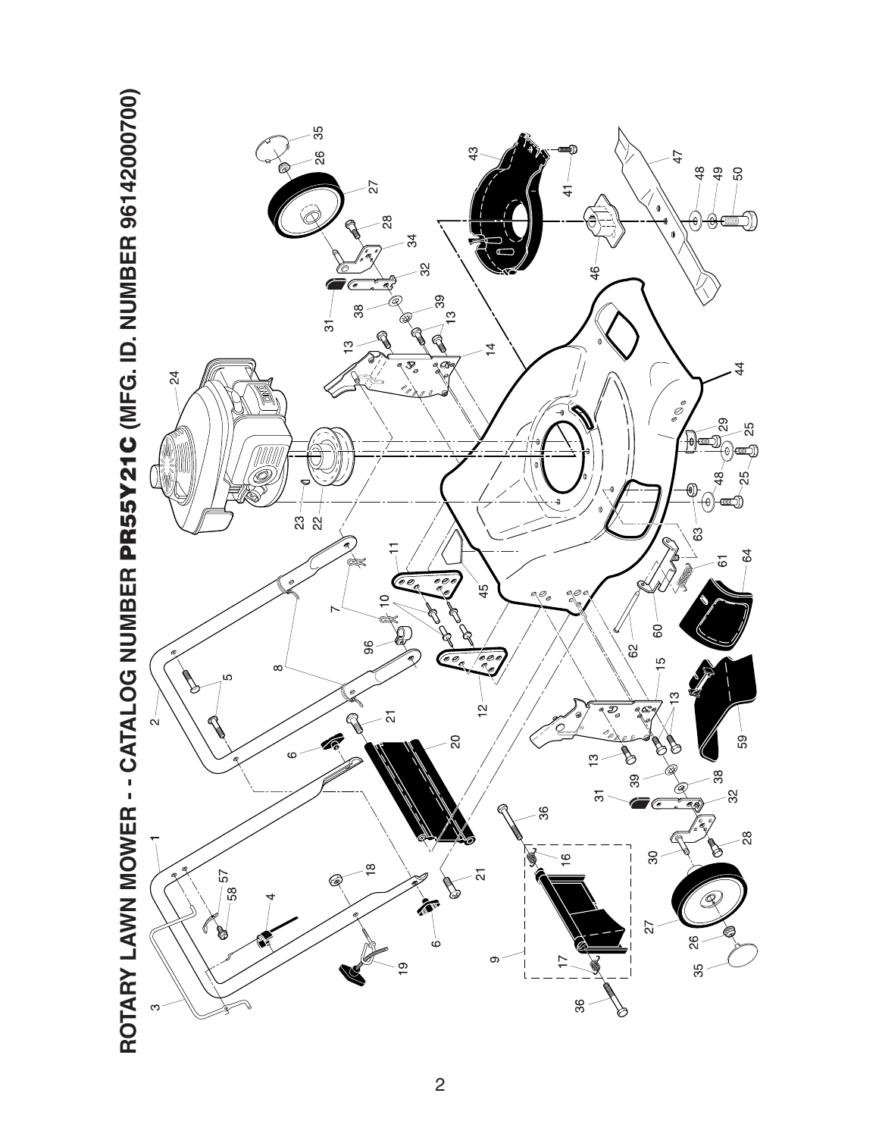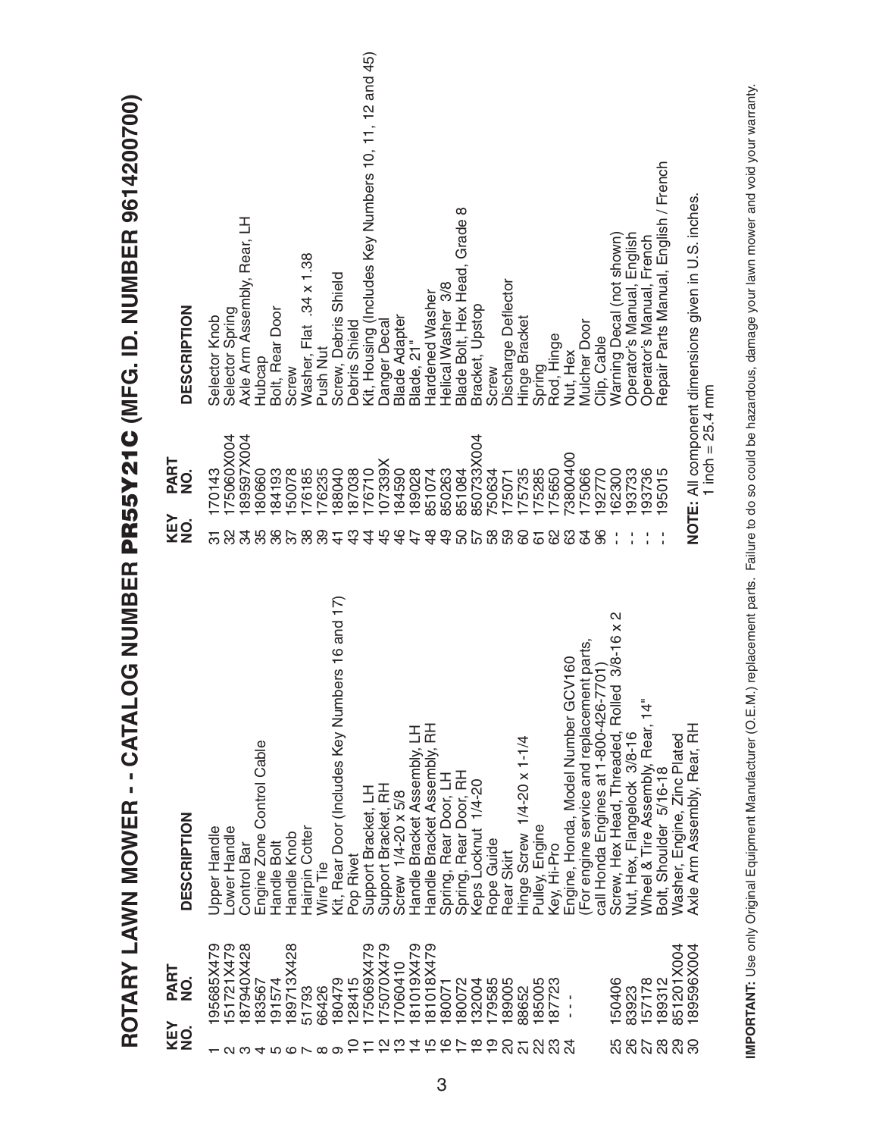|                                                   |             | ROTARY LAWN MOWER - - CATAL                                                         |                          |                    | OG NUMBER PR55Y21C (MFG. ID. NUMBER 9614200700)       |
|---------------------------------------------------|-------------|-------------------------------------------------------------------------------------|--------------------------|--------------------|-------------------------------------------------------|
| KEY<br>NO.                                        | PART<br>NO. | <b>DESCRIPTION</b>                                                                  | KEY<br>NO.               | PART<br>NO.        | <b>DESCRIPTION</b>                                    |
|                                                   | 95685X479   | Upper Handle                                                                        | 170143<br>5              |                    | Selector Knob                                         |
|                                                   | 51721X479   | Lower Handle                                                                        | လ္က                      | 75060X004          | Selector Spring                                       |
| <u>പ ധ</u>                                        | 87940X428   | <b>Control Bar</b>                                                                  | 34                       | 89597X004          | Axle Arm Assembly, Rear, LH                           |
| 4                                                 | 183567      | Engine Zone Control Cable                                                           | 80660<br>35              |                    | Hubcap                                                |
|                                                   | 191574      | Handle Bolt                                                                         | 84193<br>36              |                    | Bolt, Rear Door                                       |
|                                                   | 189713X428  | Handle Knob                                                                         | 50078<br>55              |                    | Screw                                                 |
| 00 N 00                                           | 51793       | Hairpin Cotter                                                                      | 76185<br>38              |                    | Washer, Flat .34 x 1.38                               |
|                                                   | 66426       | Wire Tie                                                                            | 76235<br>တွ              |                    | Push Nut                                              |
|                                                   | 180479      | Kit, Rear Door (Includes Key Numbers 16 and 17)                                     | 88040                    |                    | Screw, Debris Shield                                  |
|                                                   | 128415      | Pop Rivet                                                                           | 87038<br>$\frac{3}{4}$   |                    | Debris Shield                                         |
|                                                   | 75069X479   | Support Bracket, LH                                                                 | 76710<br>4               |                    | Kit, Housing (Includes Key Numbers 10, 11, 12 and 45) |
| $ \alpha$ $\omega$ $+$ $\alpha$ $\alpha$ $\alpha$ | 75070X479   | Support Bracket, RH                                                                 | 07339X<br>$\frac{4}{5}$  |                    | Danger Decal                                          |
|                                                   | 7060410     | Screw 1/4-20 x 5/8                                                                  | 184590<br>$\frac{6}{4}$  |                    | <b>Blade Adapter</b>                                  |
|                                                   | 81019X479   | Handle Bracket Assembly, LH                                                         | 189028                   |                    | Blade, 21"                                            |
|                                                   | 81018X479   | Handle Bracket Assembly, RH                                                         | 851074<br>$\frac{8}{4}$  |                    | Hardened Washer                                       |
|                                                   | 80071       | Spring, Rear Door, LH                                                               | 850263<br>$\overline{9}$ |                    | Helical Washer 3/8                                    |
|                                                   | 80072       | Spring, Rear Door, RH                                                               | 851084<br>50             |                    | Blade Bolt, Hex Head, Grade 8                         |
| $\frac{8}{10}$                                    | 32004       | Keps Locknut 1/4-20                                                                 | 57                       | 850733X004         | Bracket, Upstop                                       |
| $\overline{9}$                                    | 79585       | Rope Guide                                                                          | 750634<br>58             |                    | Screw                                                 |
| 20                                                | 89005       | Rear Skirt                                                                          | 75071<br>59              |                    | Discharge Deflector                                   |
| $\overline{\Omega}$                               | 88652       | Hinge Screw 1/4-20 x 1-1/4                                                          | 175735<br>8              |                    | Hinge Bracket                                         |
| 22                                                | 185005      | Pulley, Engine                                                                      | 175285<br>61             |                    |                                                       |
| <u>ಇ</u><br>ಇ                                     | 87723       | Key, Hi-Pro                                                                         | 175650<br>8              |                    | Spring<br>Rod, Hinge                                  |
|                                                   |             | Engine, Honda, Model Number GCV160                                                  | 83                       | 3800400            | Nut, Hex                                              |
|                                                   |             |                                                                                     | 75066<br>3               |                    | <b>Mulcher Door</b>                                   |
|                                                   |             | (For engine service and replacement parts,<br>call Honda Engines at 1-800-426-7701) | 192770<br>96             |                    | Clip, Cable                                           |
|                                                   | 150406      | Screw, Hex Head, Threaded, Rolled 3/8-16 x 2                                        | 62300                    |                    | Warning Decal (not shown)                             |
|                                                   | 83923       | Nut, Hex, Flangelock 3/8-16                                                         | 93733                    |                    | Operator's Manual, English                            |
|                                                   | 157178      | Wheel & Tire Assembly, Rear, 14"                                                    | 193736                   |                    | Operator's Manual, French                             |
|                                                   | 189312      | Bolt, Shoulder 5/16-18                                                              | 95015                    |                    | Repair Parts Manual, English / French                 |
| 5<br>8 8 8 8 8 9                                  | 851201X004  | Washer, Engine, Zinc Plated                                                         |                          |                    |                                                       |
|                                                   | 189596X004  | Axle Arm Assembly, Rear, RH                                                         |                          | 1 inch = $25.4$ mm | NOTE: All component dimensions given in U.S. inches.  |
|                                                   |             |                                                                                     |                          |                    |                                                       |

IMPORTANT: Use only Original Equipment Manufacturer (O.E.M.) replacement parts. Failure to do so could be hazardous, damage your lawn mower and void your warranty. **IMPORTANT:** Use only Original Equipment Manufacturer (O.E.M.) replacement parts. Failure to do so could be hazardous, damage your lawn mower and void your warranty.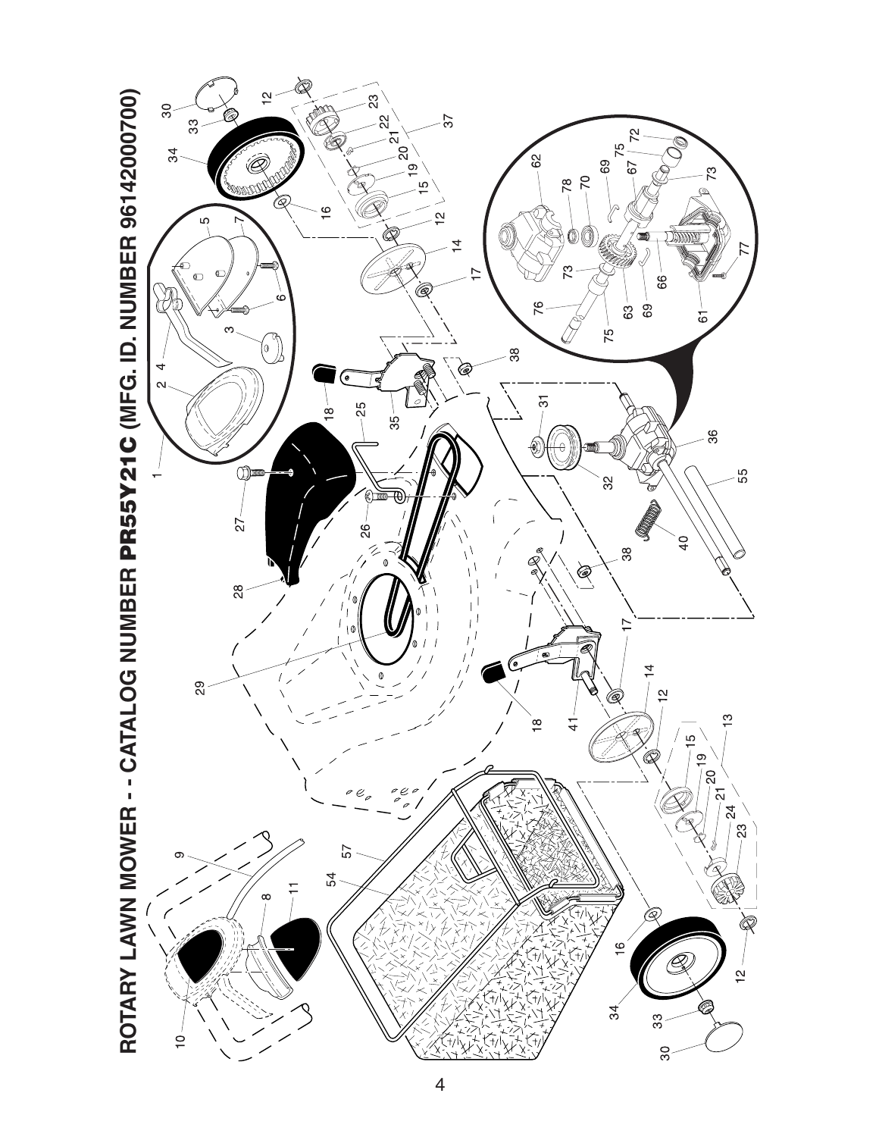

4